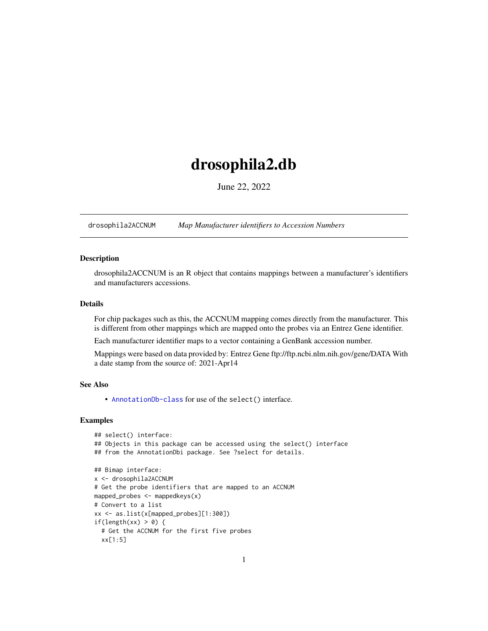# <span id="page-0-1"></span>drosophila2.db

June 22, 2022

<span id="page-0-0"></span>drosophila2ACCNUM *Map Manufacturer identifiers to Accession Numbers*

# Description

drosophila2ACCNUM is an R object that contains mappings between a manufacturer's identifiers and manufacturers accessions.

# Details

For chip packages such as this, the ACCNUM mapping comes directly from the manufacturer. This is different from other mappings which are mapped onto the probes via an Entrez Gene identifier.

Each manufacturer identifier maps to a vector containing a GenBank accession number.

Mappings were based on data provided by: Entrez Gene ftp://ftp.ncbi.nlm.nih.gov/gene/DATA With a date stamp from the source of: 2021-Apr14

# See Also

• AnnotationDb-class for use of the select() interface.

```
## select() interface:
## Objects in this package can be accessed using the select() interface
## from the AnnotationDbi package. See ?select for details.
## Bimap interface:
x <- drosophila2ACCNUM
# Get the probe identifiers that are mapped to an ACCNUM
mapped_probes <- mappedkeys(x)
# Convert to a list
xx <- as.list(x[mapped_probes][1:300])
if(length(xx) > 0) {
  # Get the ACCNUM for the first five probes
  xx[1:5]
```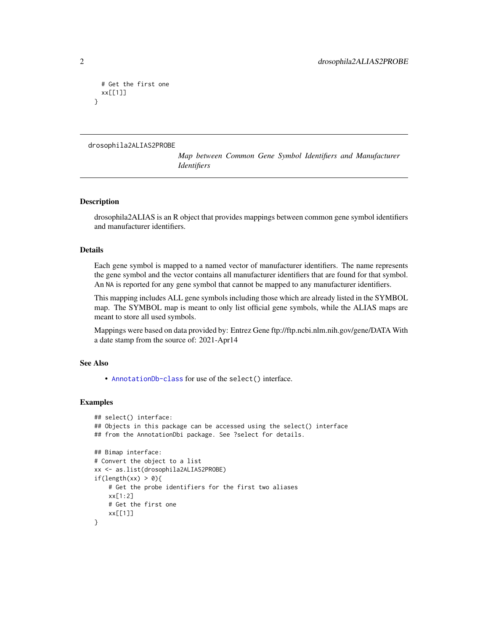```
# Get the first one
 xx[[1]]
}
```

```
drosophila2ALIAS2PROBE
```
*Map between Common Gene Symbol Identifiers and Manufacturer Identifiers*

# Description

drosophila2ALIAS is an R object that provides mappings between common gene symbol identifiers and manufacturer identifiers.

# Details

Each gene symbol is mapped to a named vector of manufacturer identifiers. The name represents the gene symbol and the vector contains all manufacturer identifiers that are found for that symbol. An NA is reported for any gene symbol that cannot be mapped to any manufacturer identifiers.

This mapping includes ALL gene symbols including those which are already listed in the SYMBOL map. The SYMBOL map is meant to only list official gene symbols, while the ALIAS maps are meant to store all used symbols.

Mappings were based on data provided by: Entrez Gene ftp://ftp.ncbi.nlm.nih.gov/gene/DATA With a date stamp from the source of: 2021-Apr14

#### See Also

• [AnnotationDb-class](#page-0-0) for use of the select() interface.

```
## select() interface:
## Objects in this package can be accessed using the select() interface
## from the AnnotationDbi package. See ?select for details.
## Bimap interface:
# Convert the object to a list
xx <- as.list(drosophila2ALIAS2PROBE)
if(length(xx) > 0){
    # Get the probe identifiers for the first two aliases
    xx[1:2]
   # Get the first one
   xx[[1]]
}
```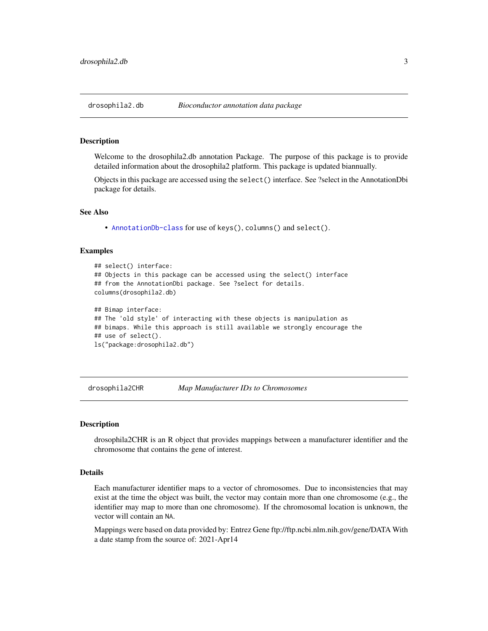<span id="page-2-0"></span>

#### Description

Welcome to the drosophila2.db annotation Package. The purpose of this package is to provide detailed information about the drosophila2 platform. This package is updated biannually.

Objects in this package are accessed using the select() interface. See ?select in the AnnotationDbi package for details.

#### See Also

• [AnnotationDb-class](#page-0-0) for use of keys(), columns() and select().

## Examples

```
## select() interface:
## Objects in this package can be accessed using the select() interface
## from the AnnotationDbi package. See ?select for details.
columns(drosophila2.db)
## Bimap interface:
## The 'old style' of interacting with these objects is manipulation as
## bimaps. While this approach is still available we strongly encourage the
## use of select().
ls("package:drosophila2.db")
```
drosophila2CHR *Map Manufacturer IDs to Chromosomes*

# **Description**

drosophila2CHR is an R object that provides mappings between a manufacturer identifier and the chromosome that contains the gene of interest.

# Details

Each manufacturer identifier maps to a vector of chromosomes. Due to inconsistencies that may exist at the time the object was built, the vector may contain more than one chromosome (e.g., the identifier may map to more than one chromosome). If the chromosomal location is unknown, the vector will contain an NA.

Mappings were based on data provided by: Entrez Gene ftp://ftp.ncbi.nlm.nih.gov/gene/DATA With a date stamp from the source of: 2021-Apr14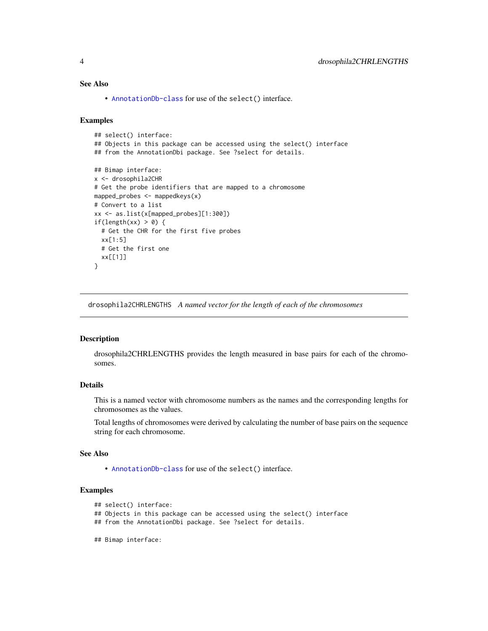# <span id="page-3-0"></span>See Also

• [AnnotationDb-class](#page-0-0) for use of the select() interface.

# Examples

```
## select() interface:
## Objects in this package can be accessed using the select() interface
## from the AnnotationDbi package. See ?select for details.
## Bimap interface:
x <- drosophila2CHR
# Get the probe identifiers that are mapped to a chromosome
mapped_probes <- mappedkeys(x)
# Convert to a list
xx <- as.list(x[mapped_probes][1:300])
if(length(xx) > 0) {
  # Get the CHR for the first five probes
  xx[1:5]
  # Get the first one
  xx[[1]]
}
```
drosophila2CHRLENGTHS *A named vector for the length of each of the chromosomes*

#### Description

drosophila2CHRLENGTHS provides the length measured in base pairs for each of the chromosomes.

# Details

This is a named vector with chromosome numbers as the names and the corresponding lengths for chromosomes as the values.

Total lengths of chromosomes were derived by calculating the number of base pairs on the sequence string for each chromosome.

# See Also

• [AnnotationDb-class](#page-0-0) for use of the select() interface.

```
## select() interface:
```
- ## Objects in this package can be accessed using the select() interface
- ## from the AnnotationDbi package. See ?select for details.
- ## Bimap interface: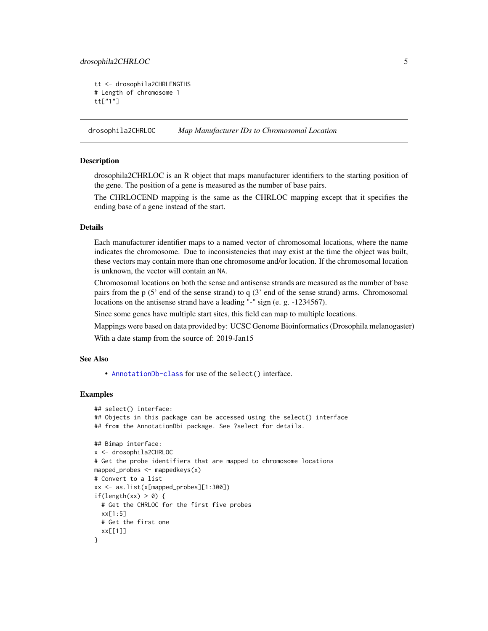# <span id="page-4-0"></span>drosophila2CHRLOC 5

```
tt <- drosophila2CHRLENGTHS
# Length of chromosome 1
tt["1"]
```
drosophila2CHRLOC *Map Manufacturer IDs to Chromosomal Location*

# Description

drosophila2CHRLOC is an R object that maps manufacturer identifiers to the starting position of the gene. The position of a gene is measured as the number of base pairs.

The CHRLOCEND mapping is the same as the CHRLOC mapping except that it specifies the ending base of a gene instead of the start.

# Details

Each manufacturer identifier maps to a named vector of chromosomal locations, where the name indicates the chromosome. Due to inconsistencies that may exist at the time the object was built, these vectors may contain more than one chromosome and/or location. If the chromosomal location is unknown, the vector will contain an NA.

Chromosomal locations on both the sense and antisense strands are measured as the number of base pairs from the  $p(5)$  end of the sense strand) to q  $(3)$  end of the sense strand) arms. Chromosomal locations on the antisense strand have a leading "-" sign (e. g. -1234567).

Since some genes have multiple start sites, this field can map to multiple locations.

Mappings were based on data provided by: UCSC Genome Bioinformatics (Drosophila melanogaster)

With a date stamp from the source of: 2019-Jan15

# See Also

• [AnnotationDb-class](#page-0-0) for use of the select() interface.

```
## select() interface:
## Objects in this package can be accessed using the select() interface
## from the AnnotationDbi package. See ?select for details.
## Bimap interface:
x <- drosophila2CHRLOC
# Get the probe identifiers that are mapped to chromosome locations
mapped_probes <- mappedkeys(x)
# Convert to a list
xx <- as.list(x[mapped_probes][1:300])
if(length(xx) > 0) {
 # Get the CHRLOC for the first five probes
 xx[1:5]
 # Get the first one
 xx[[1]]
}
```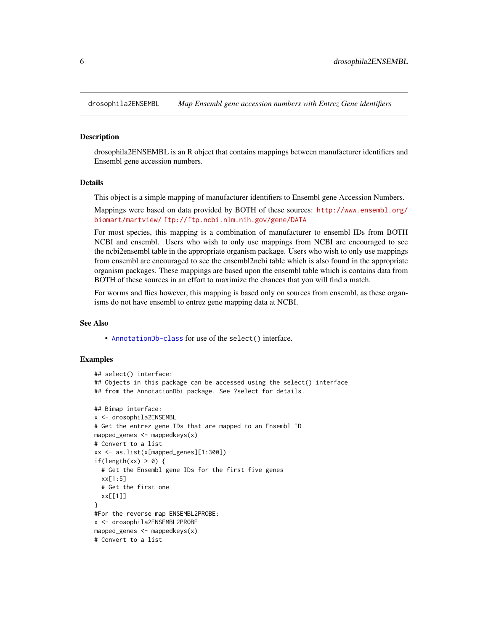<span id="page-5-0"></span>

#### Description

drosophila2ENSEMBL is an R object that contains mappings between manufacturer identifiers and Ensembl gene accession numbers.

# Details

This object is a simple mapping of manufacturer identifiers to Ensembl gene Accession Numbers.

Mappings were based on data provided by BOTH of these sources: [http://www.ensembl.org/](http://www.ensembl.org/biomart/martview/) [biomart/martview/](http://www.ensembl.org/biomart/martview/) <ftp://ftp.ncbi.nlm.nih.gov/gene/DATA>

For most species, this mapping is a combination of manufacturer to ensembl IDs from BOTH NCBI and ensembl. Users who wish to only use mappings from NCBI are encouraged to see the ncbi2ensembl table in the appropriate organism package. Users who wish to only use mappings from ensembl are encouraged to see the ensembl2ncbi table which is also found in the appropriate organism packages. These mappings are based upon the ensembl table which is contains data from BOTH of these sources in an effort to maximize the chances that you will find a match.

For worms and flies however, this mapping is based only on sources from ensembl, as these organisms do not have ensembl to entrez gene mapping data at NCBI.

#### See Also

• [AnnotationDb-class](#page-0-0) for use of the select() interface.

```
## select() interface:
## Objects in this package can be accessed using the select() interface
## from the AnnotationDbi package. See ?select for details.
## Bimap interface:
x <- drosophila2ENSEMBL
# Get the entrez gene IDs that are mapped to an Ensembl ID
mapped_genes \leq mappedkeys(x)
# Convert to a list
xx <- as.list(x[mapped_genes][1:300])
if(length(xx) > 0) {
 # Get the Ensembl gene IDs for the first five genes
 xx[1:5]
 # Get the first one
 xx[[1]]
}
#For the reverse map ENSEMBL2PROBE:
x <- drosophila2ENSEMBL2PROBE
mapped_genes <- mappedkeys(x)
# Convert to a list
```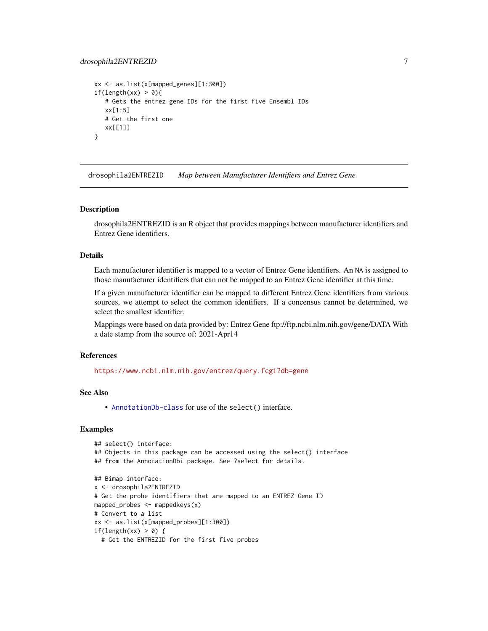# <span id="page-6-0"></span>drosophila2ENTREZID 7

```
xx <- as.list(x[mapped_genes][1:300])
if(length(xx) > 0){
  # Gets the entrez gene IDs for the first five Ensembl IDs
  xx[1:5]
  # Get the first one
  xx[[1]]
}
```
drosophila2ENTREZID *Map between Manufacturer Identifiers and Entrez Gene*

#### Description

drosophila2ENTREZID is an R object that provides mappings between manufacturer identifiers and Entrez Gene identifiers.

# Details

Each manufacturer identifier is mapped to a vector of Entrez Gene identifiers. An NA is assigned to those manufacturer identifiers that can not be mapped to an Entrez Gene identifier at this time.

If a given manufacturer identifier can be mapped to different Entrez Gene identifiers from various sources, we attempt to select the common identifiers. If a concensus cannot be determined, we select the smallest identifier.

Mappings were based on data provided by: Entrez Gene ftp://ftp.ncbi.nlm.nih.gov/gene/DATA With a date stamp from the source of: 2021-Apr14

# References

<https://www.ncbi.nlm.nih.gov/entrez/query.fcgi?db=gene>

# See Also

• [AnnotationDb-class](#page-0-0) for use of the select() interface.

```
## select() interface:
## Objects in this package can be accessed using the select() interface
## from the AnnotationDbi package. See ?select for details.
## Bimap interface:
x <- drosophila2ENTREZID
# Get the probe identifiers that are mapped to an ENTREZ Gene ID
mapped_probes <- mappedkeys(x)
# Convert to a list
xx <- as.list(x[mapped_probes][1:300])
if(length(xx) > 0) {
  # Get the ENTREZID for the first five probes
```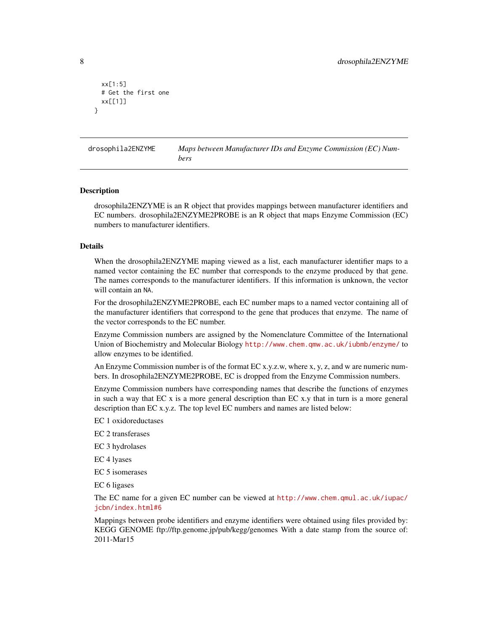```
xx[1:5]
 # Get the first one
 xx[[1]]
}
```
drosophila2ENZYME *Maps between Manufacturer IDs and Enzyme Commission (EC) Numbers*

#### Description

drosophila2ENZYME is an R object that provides mappings between manufacturer identifiers and EC numbers. drosophila2ENZYME2PROBE is an R object that maps Enzyme Commission (EC) numbers to manufacturer identifiers.

#### Details

When the drosophila2ENZYME maping viewed as a list, each manufacturer identifier maps to a named vector containing the EC number that corresponds to the enzyme produced by that gene. The names corresponds to the manufacturer identifiers. If this information is unknown, the vector will contain an NA.

For the drosophila2ENZYME2PROBE, each EC number maps to a named vector containing all of the manufacturer identifiers that correspond to the gene that produces that enzyme. The name of the vector corresponds to the EC number.

Enzyme Commission numbers are assigned by the Nomenclature Committee of the International Union of Biochemistry and Molecular Biology <http://www.chem.qmw.ac.uk/iubmb/enzyme/> to allow enzymes to be identified.

An Enzyme Commission number is of the format EC x.y.z.w, where x, y, z, and w are numeric numbers. In drosophila2ENZYME2PROBE, EC is dropped from the Enzyme Commission numbers.

Enzyme Commission numbers have corresponding names that describe the functions of enzymes in such a way that EC x is a more general description than EC x.y that in turn is a more general description than EC x.y.z. The top level EC numbers and names are listed below:

EC 1 oxidoreductases

EC 2 transferases

EC 3 hydrolases

EC 4 lyases

EC 5 isomerases

EC 6 ligases

The EC name for a given EC number can be viewed at [http://www.chem.qmul.ac.uk/iupac/](http://www.chem.qmul.ac.uk/iupac/jcbn/index.html#6) [jcbn/index.html#6](http://www.chem.qmul.ac.uk/iupac/jcbn/index.html#6)

Mappings between probe identifiers and enzyme identifiers were obtained using files provided by: KEGG GENOME ftp://ftp.genome.jp/pub/kegg/genomes With a date stamp from the source of: 2011-Mar15

<span id="page-7-0"></span>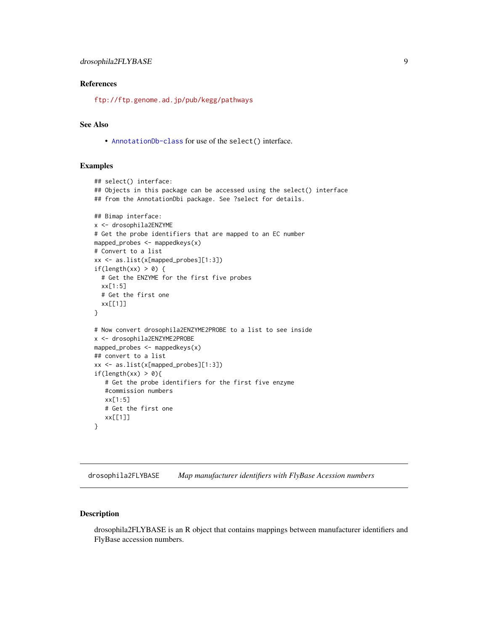# <span id="page-8-0"></span>References

<ftp://ftp.genome.ad.jp/pub/kegg/pathways>

# See Also

• [AnnotationDb-class](#page-0-0) for use of the select() interface.

# Examples

```
## select() interface:
## Objects in this package can be accessed using the select() interface
## from the AnnotationDbi package. See ?select for details.
## Bimap interface:
x <- drosophila2ENZYME
# Get the probe identifiers that are mapped to an EC number
mapped_probes <- mappedkeys(x)
# Convert to a list
xx <- as.list(x[mapped_probes][1:3])
if(length(xx) > 0) {
  # Get the ENZYME for the first five probes
  xx[1:5]
  # Get the first one
  xx[[1]]
}
# Now convert drosophila2ENZYME2PROBE to a list to see inside
x <- drosophila2ENZYME2PROBE
mapped_probes \leq mappedkeys(x)
## convert to a list
xx <- as.list(x[mapped_probes][1:3])
if(length(xx) > 0){
   # Get the probe identifiers for the first five enzyme
   #commission numbers
   xx[1:5]
   # Get the first one
   xx[[1]]
}
```
drosophila2FLYBASE *Map manufacturer identifiers with FlyBase Acession numbers*

# Description

drosophila2FLYBASE is an R object that contains mappings between manufacturer identifiers and FlyBase accession numbers.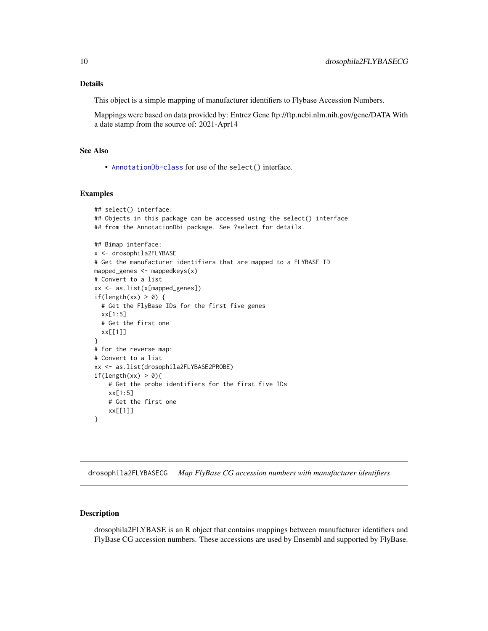# <span id="page-9-0"></span>Details

This object is a simple mapping of manufacturer identifiers to Flybase Accession Numbers.

Mappings were based on data provided by: Entrez Gene ftp://ftp.ncbi.nlm.nih.gov/gene/DATA With a date stamp from the source of: 2021-Apr14

# See Also

• [AnnotationDb-class](#page-0-0) for use of the select() interface.

# Examples

```
## select() interface:
## Objects in this package can be accessed using the select() interface
## from the AnnotationDbi package. See ?select for details.
## Bimap interface:
x <- drosophila2FLYBASE
# Get the manufacturer identifiers that are mapped to a FLYBASE ID
mapped_genes <- mappedkeys(x)
# Convert to a list
xx <- as.list(x[mapped_genes])
if(length(xx) > 0) {
 # Get the FlyBase IDs for the first five genes
 xx[1:5]
 # Get the first one
 xx[[1]]
}
# For the reverse map:
# Convert to a list
xx <- as.list(drosophila2FLYBASE2PROBE)
if(length(xx) > 0){
   # Get the probe identifiers for the first five IDs
   xx[1:5]
   # Get the first one
   xx[[1]]
}
```
drosophila2FLYBASECG *Map FlyBase CG accession numbers with manufacturer identifiers*

# Description

drosophila2FLYBASE is an R object that contains mappings between manufacturer identifiers and FlyBase CG accession numbers. These accessions are used by Ensembl and supported by FlyBase.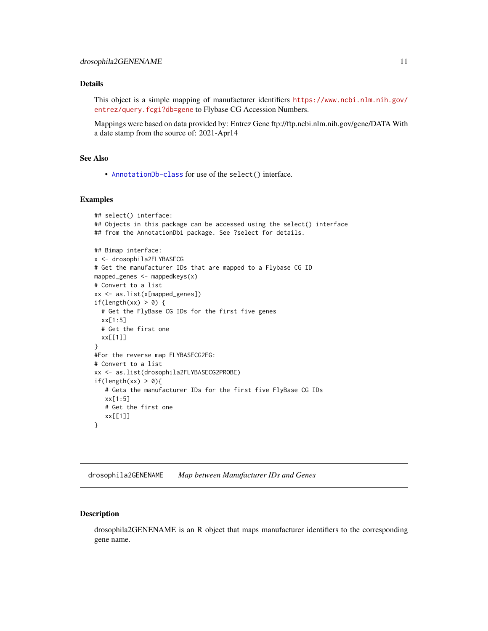# <span id="page-10-0"></span>Details

This object is a simple mapping of manufacturer identifiers [https://www.ncbi.nlm.nih.gov/](https://www.ncbi.nlm.nih.gov/entrez/query.fcgi?db=gene) [entrez/query.fcgi?db=gene](https://www.ncbi.nlm.nih.gov/entrez/query.fcgi?db=gene) to Flybase CG Accession Numbers.

Mappings were based on data provided by: Entrez Gene ftp://ftp.ncbi.nlm.nih.gov/gene/DATA With a date stamp from the source of: 2021-Apr14

# See Also

• [AnnotationDb-class](#page-0-0) for use of the select() interface.

# Examples

```
## select() interface:
## Objects in this package can be accessed using the select() interface
## from the AnnotationDbi package. See ?select for details.
## Bimap interface:
x <- drosophila2FLYBASECG
# Get the manufacturer IDs that are mapped to a Flybase CG ID
mapped_genes <- mappedkeys(x)
# Convert to a list
xx <- as.list(x[mapped_genes])
if(length(xx) > 0) {
  # Get the FlyBase CG IDs for the first five genes
  xx[1:5]
  # Get the first one
  xx[[1]]
}
#For the reverse map FLYBASECG2EG:
# Convert to a list
xx <- as.list(drosophila2FLYBASECG2PROBE)
if(length(xx) > 0){
   # Gets the manufacturer IDs for the first five FlyBase CG IDs
   xx[1:5]
   # Get the first one
   xx[[1]]
}
```
drosophila2GENENAME *Map between Manufacturer IDs and Genes*

# Description

drosophila2GENENAME is an R object that maps manufacturer identifiers to the corresponding gene name.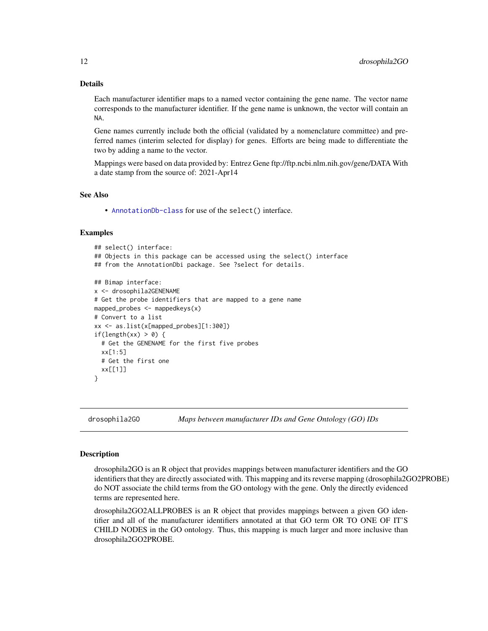# <span id="page-11-1"></span>Details

Each manufacturer identifier maps to a named vector containing the gene name. The vector name corresponds to the manufacturer identifier. If the gene name is unknown, the vector will contain an NA.

Gene names currently include both the official (validated by a nomenclature committee) and preferred names (interim selected for display) for genes. Efforts are being made to differentiate the two by adding a name to the vector.

Mappings were based on data provided by: Entrez Gene ftp://ftp.ncbi.nlm.nih.gov/gene/DATA With a date stamp from the source of: 2021-Apr14

#### See Also

• [AnnotationDb-class](#page-0-0) for use of the select() interface.

# Examples

```
## select() interface:
## Objects in this package can be accessed using the select() interface
## from the AnnotationDbi package. See ?select for details.
## Bimap interface:
x <- drosophila2GENENAME
# Get the probe identifiers that are mapped to a gene name
mapped_probes \leq mappedkeys(x)
# Convert to a list
xx <- as.list(x[mapped_probes][1:300])
if(length(xx) > 0) {
  # Get the GENENAME for the first five probes
  xx[1:5]
  # Get the first one
  xx[[1]]
}
```
drosophila2GO *Maps between manufacturer IDs and Gene Ontology (GO) IDs*

#### <span id="page-11-0"></span>Description

drosophila2GO is an R object that provides mappings between manufacturer identifiers and the GO identifiers that they are directly associated with. This mapping and its reverse mapping (drosophila2GO2PROBE) do NOT associate the child terms from the GO ontology with the gene. Only the directly evidenced terms are represented here.

drosophila2GO2ALLPROBES is an R object that provides mappings between a given GO identifier and all of the manufacturer identifiers annotated at that GO term OR TO ONE OF IT'S CHILD NODES in the GO ontology. Thus, this mapping is much larger and more inclusive than drosophila2GO2PROBE.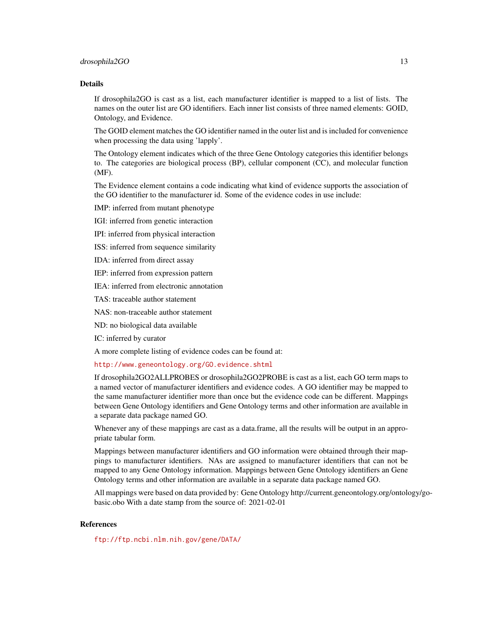#### drosophila2GO 13

#### Details

If drosophila2GO is cast as a list, each manufacturer identifier is mapped to a list of lists. The names on the outer list are GO identifiers. Each inner list consists of three named elements: GOID, Ontology, and Evidence.

The GOID element matches the GO identifier named in the outer list and is included for convenience when processing the data using 'lapply'.

The Ontology element indicates which of the three Gene Ontology categories this identifier belongs to. The categories are biological process (BP), cellular component (CC), and molecular function (MF).

The Evidence element contains a code indicating what kind of evidence supports the association of the GO identifier to the manufacturer id. Some of the evidence codes in use include:

IMP: inferred from mutant phenotype

IGI: inferred from genetic interaction

IPI: inferred from physical interaction

ISS: inferred from sequence similarity

IDA: inferred from direct assay

IEP: inferred from expression pattern

IEA: inferred from electronic annotation

TAS: traceable author statement

NAS: non-traceable author statement

ND: no biological data available

IC: inferred by curator

A more complete listing of evidence codes can be found at:

<http://www.geneontology.org/GO.evidence.shtml>

If drosophila2GO2ALLPROBES or drosophila2GO2PROBE is cast as a list, each GO term maps to a named vector of manufacturer identifiers and evidence codes. A GO identifier may be mapped to the same manufacturer identifier more than once but the evidence code can be different. Mappings between Gene Ontology identifiers and Gene Ontology terms and other information are available in a separate data package named GO.

Whenever any of these mappings are cast as a data.frame, all the results will be output in an appropriate tabular form.

Mappings between manufacturer identifiers and GO information were obtained through their mappings to manufacturer identifiers. NAs are assigned to manufacturer identifiers that can not be mapped to any Gene Ontology information. Mappings between Gene Ontology identifiers an Gene Ontology terms and other information are available in a separate data package named GO.

All mappings were based on data provided by: Gene Ontology http://current.geneontology.org/ontology/gobasic.obo With a date stamp from the source of: 2021-02-01

# References

<ftp://ftp.ncbi.nlm.nih.gov/gene/DATA/>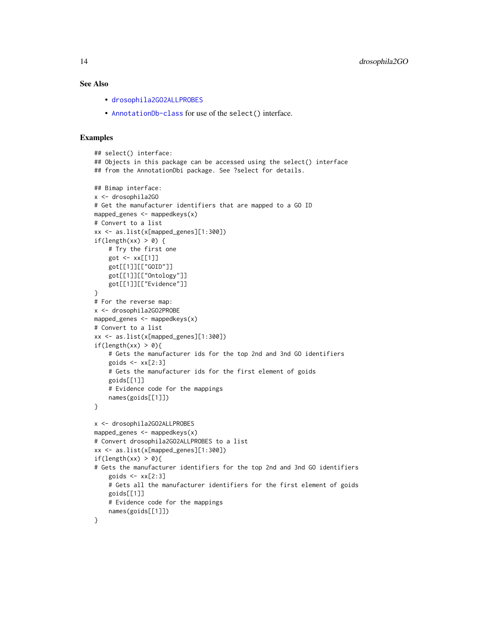# <span id="page-13-0"></span>See Also

- [drosophila2GO2ALLPROBES](#page-11-0)
- [AnnotationDb-class](#page-0-0) for use of the select() interface.

```
## select() interface:
## Objects in this package can be accessed using the select() interface
## from the AnnotationDbi package. See ?select for details.
## Bimap interface:
x <- drosophila2GO
# Get the manufacturer identifiers that are mapped to a GO ID
mapped_genes <- mappedkeys(x)
# Convert to a list
xx <- as.list(x[mapped_genes][1:300])
if(length(xx) > 0) {
    # Try the first one
   got \leq -xx[[1]]got[[1]][["GOID"]]
    got[[1]][["Ontology"]]
    got[[1]][["Evidence"]]
}
# For the reverse map:
x <- drosophila2GO2PROBE
mapped_genes <- mappedkeys(x)
# Convert to a list
xx <- as.list(x[mapped_genes][1:300])
if(length(xx) > 0){
    # Gets the manufacturer ids for the top 2nd and 3nd GO identifiers
    goids \leftarrow xx[2:3]# Gets the manufacturer ids for the first element of goids
    goids[[1]]
    # Evidence code for the mappings
   names(goids[[1]])
}
x <- drosophila2GO2ALLPROBES
mapped_genes <- mappedkeys(x)
# Convert drosophila2GO2ALLPROBES to a list
xx <- as.list(x[mapped_genes][1:300])
if(length(xx) > 0){
# Gets the manufacturer identifiers for the top 2nd and 3nd GO identifiers
    goids \leftarrow xx[2:3]# Gets all the manufacturer identifiers for the first element of goids
   goids[[1]]
    # Evidence code for the mappings
    names(goids[[1]])
}
```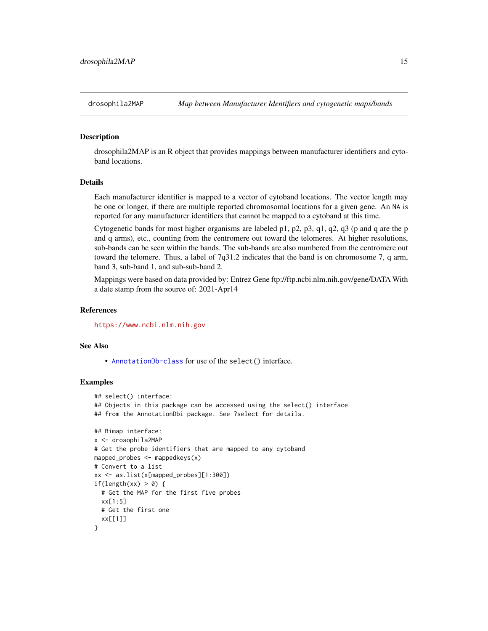# <span id="page-14-0"></span>**Description**

drosophila2MAP is an R object that provides mappings between manufacturer identifiers and cytoband locations.

# Details

Each manufacturer identifier is mapped to a vector of cytoband locations. The vector length may be one or longer, if there are multiple reported chromosomal locations for a given gene. An NA is reported for any manufacturer identifiers that cannot be mapped to a cytoband at this time.

Cytogenetic bands for most higher organisms are labeled p1, p2, p3, q1, q2, q3 (p and q are the p and q arms), etc., counting from the centromere out toward the telomeres. At higher resolutions, sub-bands can be seen within the bands. The sub-bands are also numbered from the centromere out toward the telomere. Thus, a label of 7q31.2 indicates that the band is on chromosome 7, q arm, band 3, sub-band 1, and sub-sub-band 2.

Mappings were based on data provided by: Entrez Gene ftp://ftp.ncbi.nlm.nih.gov/gene/DATA With a date stamp from the source of: 2021-Apr14

# **References**

<https://www.ncbi.nlm.nih.gov>

# See Also

• [AnnotationDb-class](#page-0-0) for use of the select() interface.

```
## select() interface:
## Objects in this package can be accessed using the select() interface
## from the AnnotationDbi package. See ?select for details.
## Bimap interface:
x <- drosophila2MAP
# Get the probe identifiers that are mapped to any cytoband
mapped_probes <- mappedkeys(x)
# Convert to a list
xx <- as.list(x[mapped_probes][1:300])
if(length(xx) > 0) {
 # Get the MAP for the first five probes
 xx[1:5]
 # Get the first one
 xx[[1]]
}
```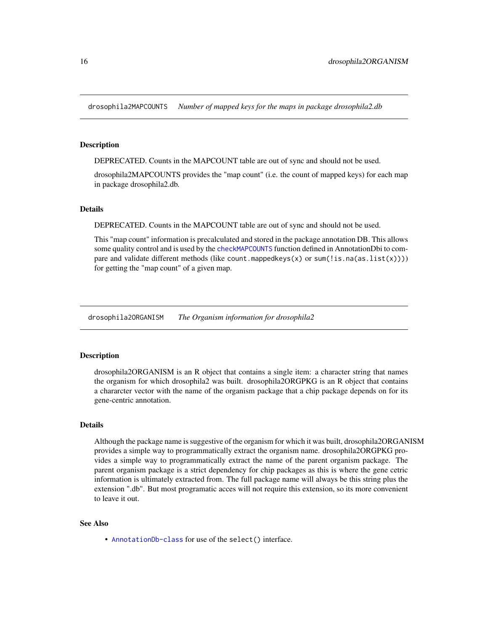<span id="page-15-0"></span>drosophila2MAPCOUNTS *Number of mapped keys for the maps in package drosophila2.db*

# **Description**

DEPRECATED. Counts in the MAPCOUNT table are out of sync and should not be used.

drosophila2MAPCOUNTS provides the "map count" (i.e. the count of mapped keys) for each map in package drosophila2.db.

# **Details**

DEPRECATED. Counts in the MAPCOUNT table are out of sync and should not be used.

This "map count" information is precalculated and stored in the package annotation DB. This allows some quality control and is used by the [checkMAPCOUNTS](#page-0-0) function defined in AnnotationDbi to compare and validate different methods (like count.mappedkeys $(x)$  or sum(!is.na(as.list(x)))) for getting the "map count" of a given map.

drosophila2ORGANISM *The Organism information for drosophila2*

# Description

drosophila2ORGANISM is an R object that contains a single item: a character string that names the organism for which drosophila2 was built. drosophila2ORGPKG is an R object that contains a chararcter vector with the name of the organism package that a chip package depends on for its gene-centric annotation.

# Details

Although the package name is suggestive of the organism for which it was built, drosophila2ORGANISM provides a simple way to programmatically extract the organism name. drosophila2ORGPKG provides a simple way to programmatically extract the name of the parent organism package. The parent organism package is a strict dependency for chip packages as this is where the gene cetric information is ultimately extracted from. The full package name will always be this string plus the extension ".db". But most programatic acces will not require this extension, so its more convenient to leave it out.

# See Also

• [AnnotationDb-class](#page-0-0) for use of the select() interface.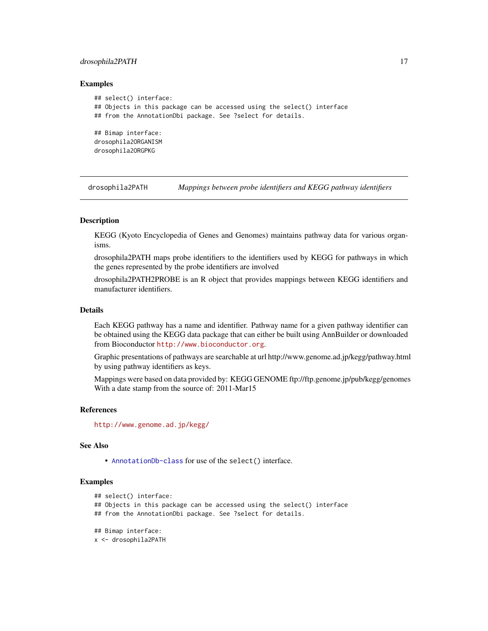# <span id="page-16-0"></span>drosophila2PATH 17

#### Examples

```
## select() interface:
## Objects in this package can be accessed using the select() interface
## from the AnnotationDbi package. See ?select for details.
## Bimap interface:
drosophila2ORGANISM
drosophila2ORGPKG
```
drosophila2PATH *Mappings between probe identifiers and KEGG pathway identifiers*

#### Description

KEGG (Kyoto Encyclopedia of Genes and Genomes) maintains pathway data for various organisms.

drosophila2PATH maps probe identifiers to the identifiers used by KEGG for pathways in which the genes represented by the probe identifiers are involved

drosophila2PATH2PROBE is an R object that provides mappings between KEGG identifiers and manufacturer identifiers.

# Details

Each KEGG pathway has a name and identifier. Pathway name for a given pathway identifier can be obtained using the KEGG data package that can either be built using AnnBuilder or downloaded from Bioconductor <http://www.bioconductor.org>.

Graphic presentations of pathways are searchable at url http://www.genome.ad.jp/kegg/pathway.html by using pathway identifiers as keys.

Mappings were based on data provided by: KEGG GENOME ftp://ftp.genome.jp/pub/kegg/genomes With a date stamp from the source of: 2011-Mar15

#### References

<http://www.genome.ad.jp/kegg/>

# See Also

• [AnnotationDb-class](#page-0-0) for use of the select() interface.

```
## select() interface:
## Objects in this package can be accessed using the select() interface
## from the AnnotationDbi package. See ?select for details.
## Bimap interface:
x <- drosophila2PATH
```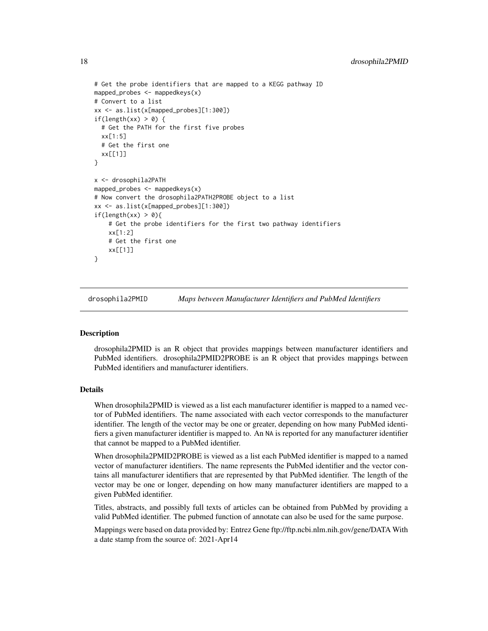```
# Get the probe identifiers that are mapped to a KEGG pathway ID
mapped_probes <- mappedkeys(x)
# Convert to a list
xx <- as.list(x[mapped_probes][1:300])
if(length(xx) > 0) {
 # Get the PATH for the first five probes
 xx[1:5]
 # Get the first one
 xx[[1]]
}
x <- drosophila2PATH
mapped_probes <- mappedkeys(x)
# Now convert the drosophila2PATH2PROBE object to a list
xx <- as.list(x[mapped_probes][1:300])
if(length(xx) > 0){
    # Get the probe identifiers for the first two pathway identifiers
   xx[1:2]
    # Get the first one
    xx[[1]]
}
```
drosophila2PMID *Maps between Manufacturer Identifiers and PubMed Identifiers*

# Description

drosophila2PMID is an R object that provides mappings between manufacturer identifiers and PubMed identifiers. drosophila2PMID2PROBE is an R object that provides mappings between PubMed identifiers and manufacturer identifiers.

# Details

When drosophila2PMID is viewed as a list each manufacturer identifier is mapped to a named vector of PubMed identifiers. The name associated with each vector corresponds to the manufacturer identifier. The length of the vector may be one or greater, depending on how many PubMed identifiers a given manufacturer identifier is mapped to. An NA is reported for any manufacturer identifier that cannot be mapped to a PubMed identifier.

When drosophila2PMID2PROBE is viewed as a list each PubMed identifier is mapped to a named vector of manufacturer identifiers. The name represents the PubMed identifier and the vector contains all manufacturer identifiers that are represented by that PubMed identifier. The length of the vector may be one or longer, depending on how many manufacturer identifiers are mapped to a given PubMed identifier.

Titles, abstracts, and possibly full texts of articles can be obtained from PubMed by providing a valid PubMed identifier. The pubmed function of annotate can also be used for the same purpose.

Mappings were based on data provided by: Entrez Gene ftp://ftp.ncbi.nlm.nih.gov/gene/DATA With a date stamp from the source of: 2021-Apr14

<span id="page-17-0"></span>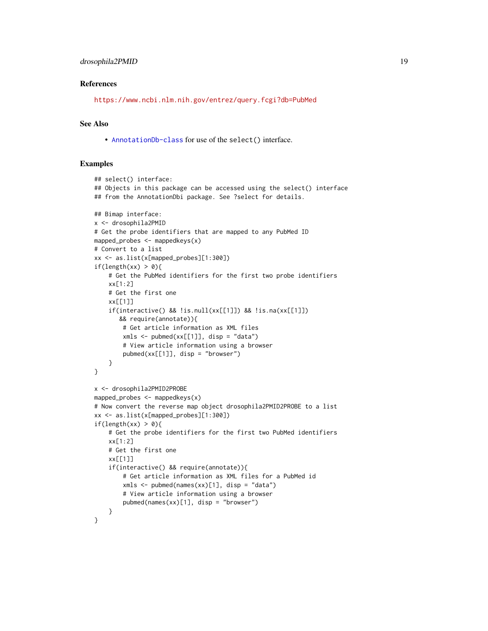# References

<https://www.ncbi.nlm.nih.gov/entrez/query.fcgi?db=PubMed>

# See Also

• [AnnotationDb-class](#page-0-0) for use of the select() interface.

```
## select() interface:
## Objects in this package can be accessed using the select() interface
## from the AnnotationDbi package. See ?select for details.
## Bimap interface:
x <- drosophila2PMID
# Get the probe identifiers that are mapped to any PubMed ID
mapped_probes \leq mappedkeys(x)
# Convert to a list
xx <- as.list(x[mapped_probes][1:300])
if(length(xx) > 0){
    # Get the PubMed identifiers for the first two probe identifiers
    xx[1:2]
    # Get the first one
    xx[[1]]
    if(interactive() && !is.null(xx[[1]]) && !is.na(xx[[1]])
       && require(annotate)){
        # Get article information as XML files
        xmls < -pubmed(xx[[1]], disp = "data")# View article information using a browser
        pubmed(xx[[1]], disp = "browser")
    }
}
x <- drosophila2PMID2PROBE
mapped_probes \leq mappedkeys(x)
# Now convert the reverse map object drosophila2PMID2PROBE to a list
xx <- as.list(x[mapped_probes][1:300])
if(length(xx) > 0){
    # Get the probe identifiers for the first two PubMed identifiers
    xx[1:2]
    # Get the first one
    xx[[1]]
    if(interactive() && require(annotate)){
        # Get article information as XML files for a PubMed id
        xmls < -pubmed(names(xx)[1], disp = "data")# View article information using a browser
        pubmed(names(xx)[1], disp = "browser")
    }
}
```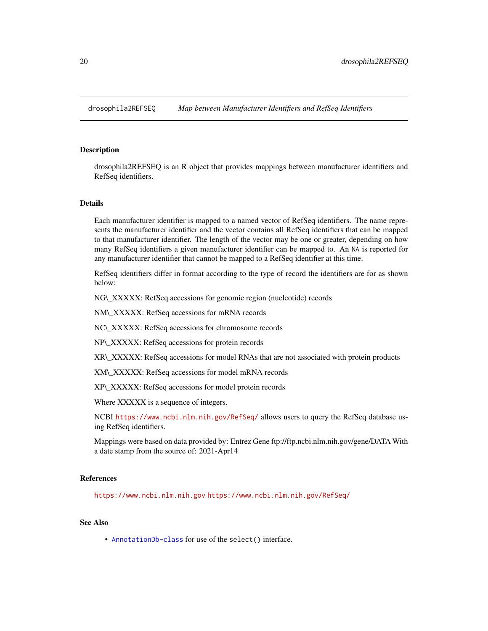<span id="page-19-0"></span>

#### **Description**

drosophila2REFSEQ is an R object that provides mappings between manufacturer identifiers and RefSeq identifiers.

#### Details

Each manufacturer identifier is mapped to a named vector of RefSeq identifiers. The name represents the manufacturer identifier and the vector contains all RefSeq identifiers that can be mapped to that manufacturer identifier. The length of the vector may be one or greater, depending on how many RefSeq identifiers a given manufacturer identifier can be mapped to. An NA is reported for any manufacturer identifier that cannot be mapped to a RefSeq identifier at this time.

RefSeq identifiers differ in format according to the type of record the identifiers are for as shown below:

NG\\_XXXXX: RefSeq accessions for genomic region (nucleotide) records

NM\\_XXXXX: RefSeq accessions for mRNA records

NC\\_XXXXX: RefSeq accessions for chromosome records

NP\\_XXXXX: RefSeq accessions for protein records

XR\\_XXXXX: RefSeq accessions for model RNAs that are not associated with protein products

XM\\_XXXXX: RefSeq accessions for model mRNA records

XP\\_XXXXX: RefSeq accessions for model protein records

Where XXXXX is a sequence of integers.

NCBI <https://www.ncbi.nlm.nih.gov/RefSeq/> allows users to query the RefSeq database using RefSeq identifiers.

Mappings were based on data provided by: Entrez Gene ftp://ftp.ncbi.nlm.nih.gov/gene/DATA With a date stamp from the source of: 2021-Apr14

# References

<https://www.ncbi.nlm.nih.gov> <https://www.ncbi.nlm.nih.gov/RefSeq/>

# See Also

• [AnnotationDb-class](#page-0-0) for use of the select() interface.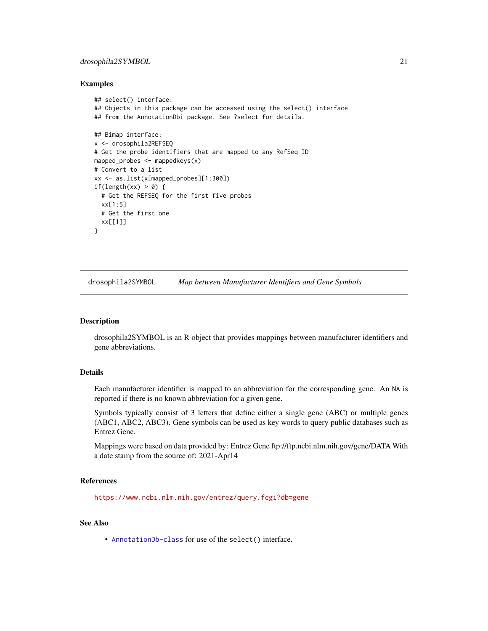# <span id="page-20-0"></span>drosophila2SYMBOL 21

# Examples

```
## select() interface:
## Objects in this package can be accessed using the select() interface
## from the AnnotationDbi package. See ?select for details.
## Bimap interface:
x <- drosophila2REFSEQ
# Get the probe identifiers that are mapped to any RefSeq ID
mapped_probes <- mappedkeys(x)
# Convert to a list
xx <- as.list(x[mapped_probes][1:300])
if(length(xx) > 0) {
  # Get the REFSEQ for the first five probes
  xx[1:5]
  # Get the first one
  xx[[1]]
}
```
drosophila2SYMBOL *Map between Manufacturer Identifiers and Gene Symbols*

#### Description

drosophila2SYMBOL is an R object that provides mappings between manufacturer identifiers and gene abbreviations.

# Details

Each manufacturer identifier is mapped to an abbreviation for the corresponding gene. An NA is reported if there is no known abbreviation for a given gene.

Symbols typically consist of 3 letters that define either a single gene (ABC) or multiple genes (ABC1, ABC2, ABC3). Gene symbols can be used as key words to query public databases such as Entrez Gene.

Mappings were based on data provided by: Entrez Gene ftp://ftp.ncbi.nlm.nih.gov/gene/DATA With a date stamp from the source of: 2021-Apr14

#### References

<https://www.ncbi.nlm.nih.gov/entrez/query.fcgi?db=gene>

# See Also

• [AnnotationDb-class](#page-0-0) for use of the select() interface.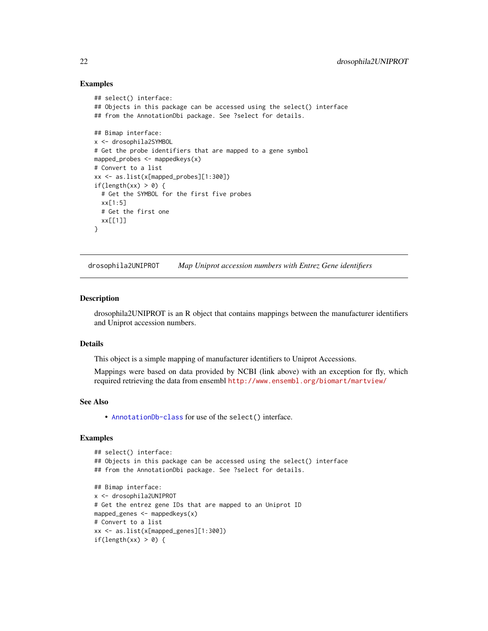# Examples

```
## select() interface:
## Objects in this package can be accessed using the select() interface
## from the AnnotationDbi package. See ?select for details.
## Bimap interface:
x <- drosophila2SYMBOL
# Get the probe identifiers that are mapped to a gene symbol
mapped_probes <- mappedkeys(x)
# Convert to a list
xx <- as.list(x[mapped_probes][1:300])
if(length(xx) > 0) {
  # Get the SYMBOL for the first five probes
  xx[1:5]
  # Get the first one
  xx[[1]]
}
```
drosophila2UNIPROT *Map Uniprot accession numbers with Entrez Gene identifiers*

#### Description

drosophila2UNIPROT is an R object that contains mappings between the manufacturer identifiers and Uniprot accession numbers.

# Details

This object is a simple mapping of manufacturer identifiers to Uniprot Accessions.

Mappings were based on data provided by NCBI (link above) with an exception for fly, which required retrieving the data from ensembl <http://www.ensembl.org/biomart/martview/>

# See Also

• [AnnotationDb-class](#page-0-0) for use of the select() interface.

```
## select() interface:
## Objects in this package can be accessed using the select() interface
## from the AnnotationDbi package. See ?select for details.
## Bimap interface:
x <- drosophila2UNIPROT
# Get the entrez gene IDs that are mapped to an Uniprot ID
mapped_genes <- mappedkeys(x)
# Convert to a list
xx <- as.list(x[mapped_genes][1:300])
if(length(xx) > 0) {
```
<span id="page-21-0"></span>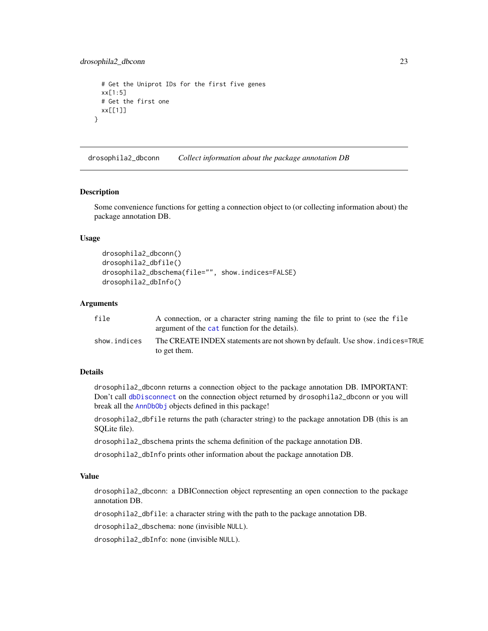```
# Get the Uniprot IDs for the first five genes
 xx[1:5]
 # Get the first one
 xx[[1]]
}
```
drosophila2\_dbconn *Collect information about the package annotation DB*

#### Description

Some convenience functions for getting a connection object to (or collecting information about) the package annotation DB.

# Usage

```
drosophila2_dbconn()
drosophila2_dbfile()
drosophila2_dbschema(file="", show.indices=FALSE)
drosophila2_dbInfo()
```
# **Arguments**

| file         | A connection, or a character string naming the file to print to (see the file<br>argument of the cat function for the details). |
|--------------|---------------------------------------------------------------------------------------------------------------------------------|
| show.indices | The CREATE INDEX statements are not shown by default. Use show, indices=TRUE<br>to get them.                                    |

# Details

drosophila2\_dbconn returns a connection object to the package annotation DB. IMPORTANT: Don't call [dbDisconnect](#page-0-0) on the connection object returned by drosophila2\_dbconn or you will break all the [AnnDbObj](#page-0-0) objects defined in this package!

drosophila2\_dbfile returns the path (character string) to the package annotation DB (this is an SQLite file).

drosophila2\_dbschema prints the schema definition of the package annotation DB.

drosophila2\_dbInfo prints other information about the package annotation DB.

# Value

drosophila2\_dbconn: a DBIConnection object representing an open connection to the package annotation DB.

drosophila2\_dbfile: a character string with the path to the package annotation DB.

drosophila2\_dbschema: none (invisible NULL).

drosophila2\_dbInfo: none (invisible NULL).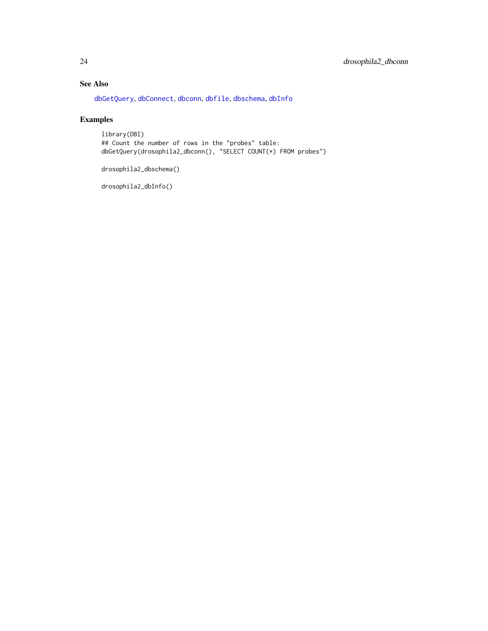# <span id="page-23-0"></span>See Also

[dbGetQuery](#page-0-0), [dbConnect](#page-0-0), [dbconn](#page-0-0), [dbfile](#page-0-0), [dbschema](#page-0-0), [dbInfo](#page-0-0)

# Examples

library(DBI) ## Count the number of rows in the "probes" table: dbGetQuery(drosophila2\_dbconn(), "SELECT COUNT(\*) FROM probes")

drosophila2\_dbschema()

drosophila2\_dbInfo()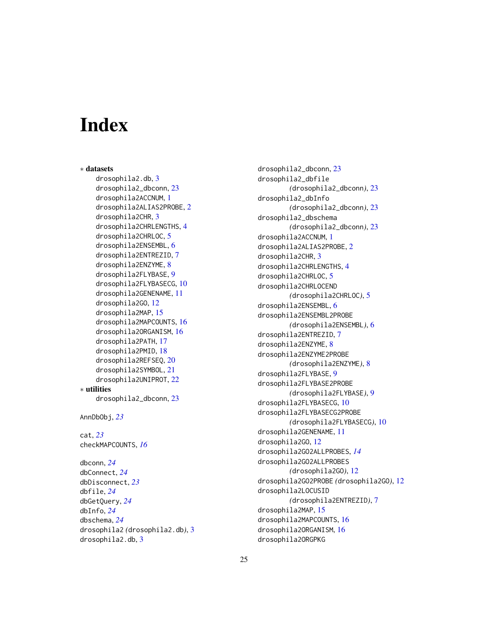# **Index**

∗ datasets drosophila2.db, [3](#page-2-0) drosophila2\_dbconn, [23](#page-22-0) drosophila2ACCNUM, [1](#page-0-1) drosophila2ALIAS2PROBE, [2](#page-1-0) drosophila2CHR, [3](#page-2-0) drosophila2CHRLENGTHS, [4](#page-3-0) drosophila2CHRLOC, [5](#page-4-0) drosophila2ENSEMBL, [6](#page-5-0) drosophila2ENTREZID, [7](#page-6-0) drosophila2ENZYME, [8](#page-7-0) drosophila2FLYBASE, [9](#page-8-0) drosophila2FLYBASECG, [10](#page-9-0) drosophila2GENENAME, [11](#page-10-0) drosophila2GO, [12](#page-11-1) drosophila2MAP, [15](#page-14-0) drosophila2MAPCOUNTS, [16](#page-15-0) drosophila2ORGANISM, [16](#page-15-0) drosophila2PATH, [17](#page-16-0) drosophila2PMID, [18](#page-17-0) drosophila2REFSEQ, [20](#page-19-0) drosophila2SYMBOL, [21](#page-20-0) drosophila2UNIPROT, [22](#page-21-0) ∗ utilities drosophila2\_dbconn, [23](#page-22-0) AnnDbObj, *[23](#page-22-0)* cat, *[23](#page-22-0)* checkMAPCOUNTS, *[16](#page-15-0)* dbconn, *[24](#page-23-0)* dbConnect, *[24](#page-23-0)* dbDisconnect, *[23](#page-22-0)* dbfile, *[24](#page-23-0)* dbGetQuery, *[24](#page-23-0)* dbInfo, *[24](#page-23-0)* dbschema, *[24](#page-23-0)* drosophila2 *(*drosophila2.db*)*, [3](#page-2-0) drosophila2.db, [3](#page-2-0)

drosophila2\_dbconn, [23](#page-22-0) drosophila2\_dbfile *(*drosophila2\_dbconn*)*, [23](#page-22-0) drosophila2\_dbInfo *(*drosophila2\_dbconn*)*, [23](#page-22-0) drosophila2\_dbschema *(*drosophila2\_dbconn*)*, [23](#page-22-0) drosophila2ACCNUM, [1](#page-0-1) drosophila2ALIAS2PROBE, [2](#page-1-0) drosophila2CHR, [3](#page-2-0) drosophila2CHRLENGTHS, [4](#page-3-0) drosophila2CHRLOC, [5](#page-4-0) drosophila2CHRLOCEND *(*drosophila2CHRLOC*)*, [5](#page-4-0) drosophila2ENSEMBL, [6](#page-5-0) drosophila2ENSEMBL2PROBE *(*drosophila2ENSEMBL*)*, [6](#page-5-0) drosophila2ENTREZID, [7](#page-6-0) drosophila2ENZYME, [8](#page-7-0) drosophila2ENZYME2PROBE *(*drosophila2ENZYME*)*, [8](#page-7-0) drosophila2FLYBASE, [9](#page-8-0) drosophila2FLYBASE2PROBE *(*drosophila2FLYBASE*)*, [9](#page-8-0) drosophila2FLYBASECG, [10](#page-9-0) drosophila2FLYBASECG2PROBE *(*drosophila2FLYBASECG*)*, [10](#page-9-0) drosophila2GENENAME, [11](#page-10-0) drosophila2GO, [12](#page-11-1) drosophila2GO2ALLPROBES, *[14](#page-13-0)* drosophila2GO2ALLPROBES *(*drosophila2GO*)*, [12](#page-11-1) drosophila2GO2PROBE *(*drosophila2GO*)*, [12](#page-11-1) drosophila2LOCUSID *(*drosophila2ENTREZID*)*, [7](#page-6-0) drosophila2MAP, [15](#page-14-0) drosophila2MAPCOUNTS, [16](#page-15-0) drosophila2ORGANISM, [16](#page-15-0) drosophila2ORGPKG